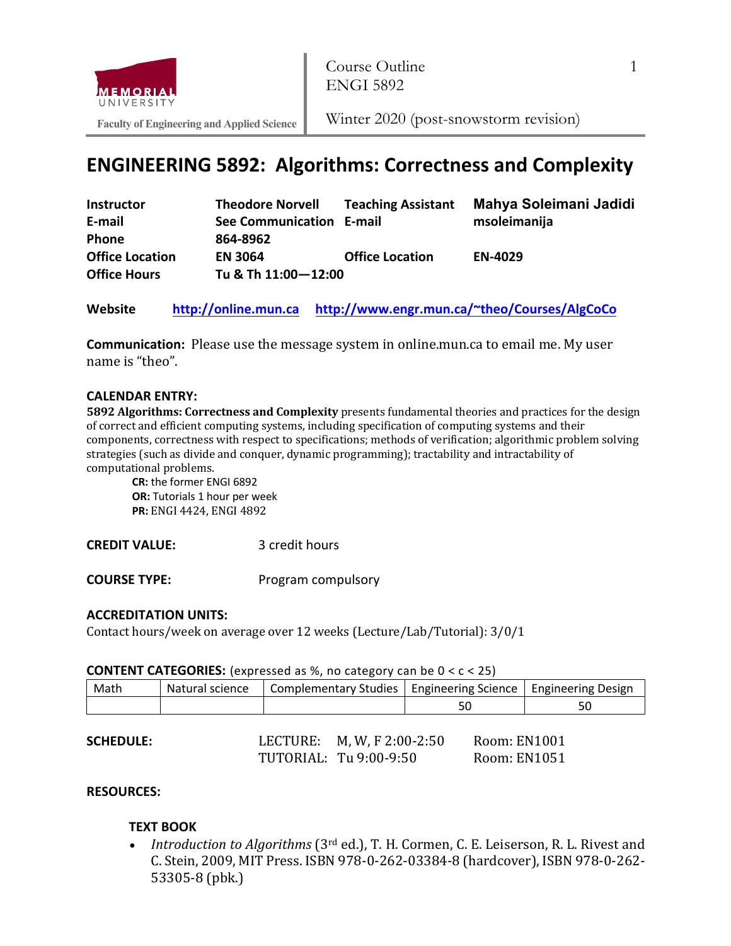

**Faculty of Engineering and Applied Science**

# **ENGINEERING 5892: Algorithms: Correctness and Complexity**

| <b>Instructor</b>      | <b>Theodore Norvell</b>  | <b>Teaching Assistant</b> | Mahya Soleimani Jadidi |
|------------------------|--------------------------|---------------------------|------------------------|
| E-mail                 | See Communication E-mail |                           | msoleimanija           |
| <b>Phone</b>           | 864-8962                 |                           |                        |
| <b>Office Location</b> | <b>EN 3064</b>           | <b>Office Location</b>    | <b>EN-4029</b>         |
| <b>Office Hours</b>    | Tu & Th 11:00-12:00      |                           |                        |

**Website http://online.mun.ca http://www.engr.mun.ca/~theo/Courses/AlgCoCo**

**Communication:** Please use the message system in online.mun.ca to email me. My user name is "theo".

#### **CALENDAR ENTRY:**

**5892 Algorithms: Correctness and Complexity** presents fundamental theories and practices for the design of correct and efficient computing systems, including specification of computing systems and their components, correctness with respect to specifications; methods of verification; algorithmic problem solving strategies (such as divide and conquer, dynamic programming); tractability and intractability of computational problems.

**CR:** the former ENGI 6892 **OR:** Tutorials 1 hour per week **PR:** ENGI 4424, ENGI 4892

**CREDIT VALUE:** 3 credit hours

**COURSE TYPE:** Program compulsory

## **ACCREDITATION UNITS:**

Contact hours/week on average over 12 weeks (Lecture/Lab/Tutorial): 3/0/1

|  | <b>CONTENT CATEGORIES:</b> (expressed as %, no category can be $0 < c < 25$ ) |  |
|--|-------------------------------------------------------------------------------|--|
|--|-------------------------------------------------------------------------------|--|

| Math | Natural science | Complementary Studies   Engineering Science   Engineering Design |    |    |
|------|-----------------|------------------------------------------------------------------|----|----|
|      |                 |                                                                  | JC | υc |

| <b>SCHEDULE:</b> | LECTURE: M, W, F 2:00-2:50 | Room: EN1001 |
|------------------|----------------------------|--------------|
|                  | TUTORIAL: Tu 9:00-9:50     | Room: EN1051 |

## **RESOURCES:**

# **TEXT BOOK**

Introduction to Algorithms (3<sup>rd</sup> ed.), T. H. Cormen, C. E. Leiserson, R. L. Rivest and C. Stein, 2009, MIT Press. ISBN 978-0-262-03384-8 (hardcover), ISBN 978-0-262-53305-8 (pbk.)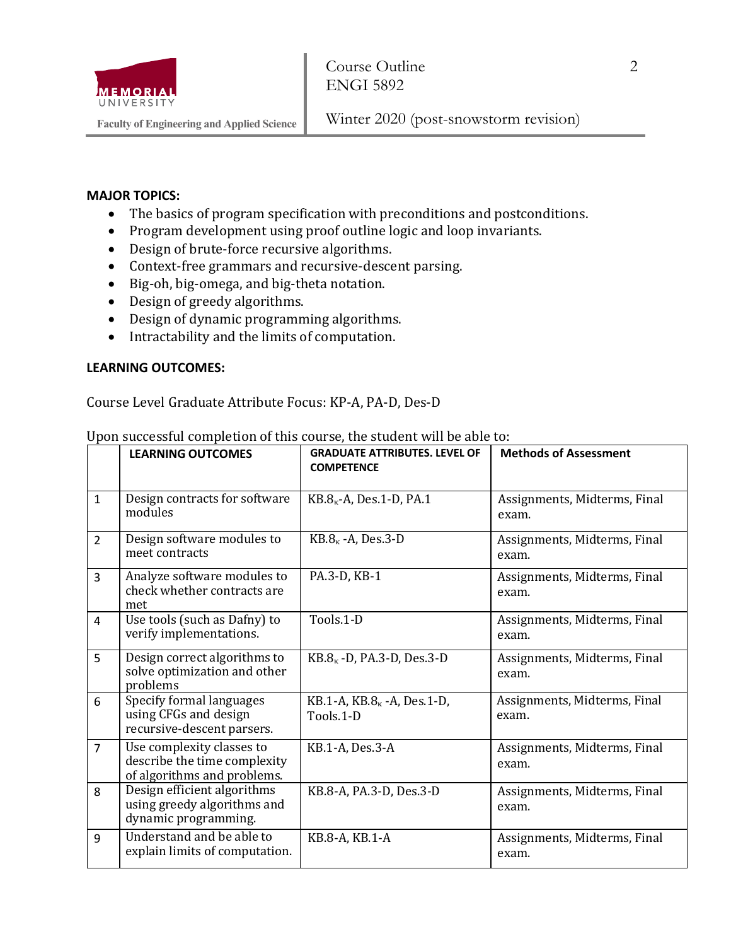

Winter 2020 (post-snowstorm revision)

#### **MAJOR TOPICS:**

- The basics of program specification with preconditions and postconditions.
- Program development using proof outline logic and loop invariants.
- Design of brute-force recursive algorithms.
- Context-free grammars and recursive-descent parsing.
- Big-oh, big-omega, and big-theta notation.
- Design of greedy algorithms.
- Design of dynamic programming algorithms.
- Intractability and the limits of computation.

### **LEARNING OUTCOMES:**

Course Level Graduate Attribute Focus: KP-A, PA-D, Des-D

|                | <b>LEARNING OUTCOMES</b>                                                                 | <b>GRADUATE ATTRIBUTES, LEVEL OF</b><br><b>COMPETENCE</b> | <b>Methods of Assessment</b>          |
|----------------|------------------------------------------------------------------------------------------|-----------------------------------------------------------|---------------------------------------|
| $\mathbf{1}$   | Design contracts for software<br>modules                                                 | $KB.8k - A, Des.1-D, PA.1$                                | Assignments, Midterms, Final<br>exam. |
| $\overline{2}$ | Design software modules to<br>meet contracts                                             | $KB.8\kappa$ -A, Des.3-D                                  | Assignments, Midterms, Final<br>exam. |
| 3              | Analyze software modules to<br>check whether contracts are<br>met                        | PA.3-D, KB-1                                              | Assignments, Midterms, Final<br>exam. |
| 4              | Use tools (such as Dafny) to<br>verify implementations.                                  | Tools.1-D                                                 | Assignments, Midterms, Final<br>exam. |
| 5              | Design correct algorithms to<br>solve optimization and other<br>problems                 | $KB.8k$ -D, PA.3-D, Des.3-D                               | Assignments, Midterms, Final<br>exam. |
| 6              | Specify formal languages<br>using CFGs and design<br>recursive-descent parsers.          | KB.1-A, $KB.8k$ -A, Des.1-D,<br>Tools.1-D                 | Assignments, Midterms, Final<br>exam. |
| $\overline{7}$ | Use complexity classes to<br>describe the time complexity<br>of algorithms and problems. | KB.1-A, Des.3-A                                           | Assignments, Midterms, Final<br>exam. |
| 8              | Design efficient algorithms<br>using greedy algorithms and<br>dynamic programming.       | KB.8-A, PA.3-D, Des.3-D                                   | Assignments, Midterms, Final<br>exam. |
| 9              | Understand and be able to<br>explain limits of computation.                              | KB.8-A, KB.1-A                                            | Assignments, Midterms, Final<br>exam. |

Upon successful completion of this course, the student will be able to: